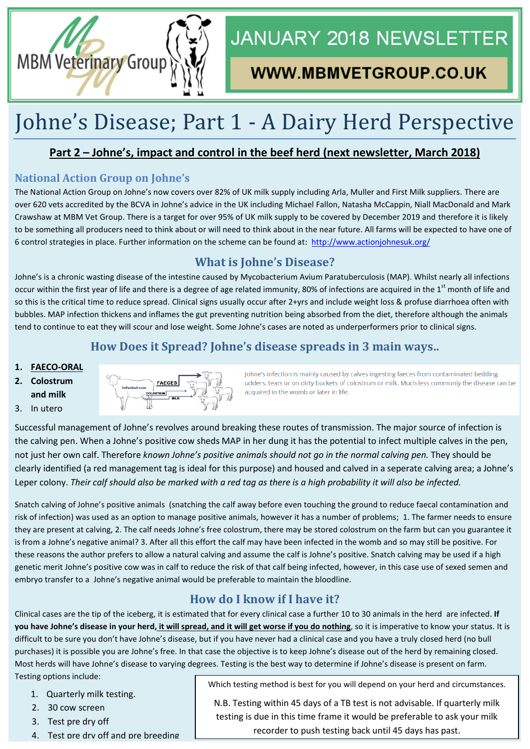

# **JANUARY 2018 NEWSLETTER**

## WWW.MBMVETGROUP.CO.UK

# Johne's Disease; Part 1 - A Dairy Herd Perspective

#### **Part 2 – Johne's, impact and control in the beef herd (next newsletter, March 2018)**

#### **National Action Group on Johne's**

The National Action Group on Johne's now covers over 82% of UK milk supply including Arla, Muller and First Milk suppliers. There are over 620 vets accredited by the BCVA in Johne's advice in the UK including Michael Fallon, Natasha McCappin, Niall MacDonald and Mark Crawshaw at MBM Vet Group. There is a target for over 95% of UK milk supply to be covered by December 2019 and therefore it is likely to be something all producers need to think about or will need to think about in the near future. All farms will be expected to have one of 6 control strategies in place. Further information on the scheme can be found at: <http://www.actionjohnesuk.org/>

### **What is Johne's Disease?**

Johne's is a chronic wasting disease of the intestine caused by Mycobacterium Avium Paratuberculosis (MAP). Whilst nearly all infections occur within the first year of life and there is a degree of age related immunity, 80% of infections are acquired in the  $1<sup>st</sup>$  month of life and so this is the critical time to reduce spread. Clinical signs usually occur after 2+yrs and include weight loss & profuse diarrhoea often with bubbles. MAP infection thickens and inflames the gut preventing nutrition being absorbed from the diet, therefore although the animals tend to continue to eat they will scour and lose weight. Some Johne's cases are noted as underperformers prior to clinical signs.

### **How Does it Spread? Johne's disease spreads in 3 main ways..**

#### **1. FAECO-ORAL**

- **2. Colostrum and milk**
- 3. In utero



Johne's infection is mainly caused by calves ingesting faeces from contaminated bedding, udders, teats or on dirty buckets of colostrum or milk. Much less commonly the disease can be acquired in the womb or later in life.

Successful management of Johne's revolves around breaking these routes of transmission. The major source of infection is the calving pen. When a Johne's positive cow sheds MAP in her dung it has the potential to infect multiple calves in the pen, not just her own calf. Therefore *known Johne's positive animals should not go in the normal calving pen.* They should be clearly identified (a red management tag is ideal for this purpose) and housed and calved in a seperate calving area; a Johne's Leper colony. *Their calf should also be marked with a red tag as there is a high probability it will also be infected.*

Snatch calving of Johne's positive animals (snatching the calf away before even touching the ground to reduce faecal contamination and risk of infection) was used as an option to manage positive animals, however it has a number of problems; 1. The farmer needs to ensure they are present at calving, 2. The calf needs Johne's free colostrum, there may be stored colostrum on the farm but can you guarantee it is from a Johne's negative animal? 3. After all this effort the calf may have been infected in the womb and so may still be positive. For these reasons the author prefers to allow a natural calving and assume the calf is Johne's positive. Snatch calving may be used if a high genetic merit Johne's positive cow was in calf to reduce the risk of that calf being infected, however, in this case use of sexed semen and embryo transfer to a Johne's negative animal would be preferable to maintain the bloodline.

### **How do I know if I have it?**

Clinical cases are the tip of the iceberg, it is estimated that for every clinical case a further 10 to 30 animals in the herd are infected. **If you have Johne's disease in your herd, it will spread, and it will get worse if you do nothing**, so it is imperative to know your status. It is difficult to be sure you don't have Johne's disease, but if you have never had a clinical case and you have a truly closed herd (no bull purchases) it is possible you are Johne's free. In that case the objective is to keep Johne's disease out of the herd by remaining closed. Most herds will have Johne's disease to varying degrees. Testing is the best way to determine if Johne's disease is present on farm. Testing options include:

1. Quarterly milk testing.

- 2. 30 cow screen
- 3. Test pre dry off
- 4. Test pre dry off and pre breeding

Which testing method is best for you will depend on your herd and circumstances.

N.B. Testing within 45 days of a TB test is not advisable. If quarterly milk testing is due in this time frame it would be preferable to ask your milk recorder to push testing back until 45 days has past.